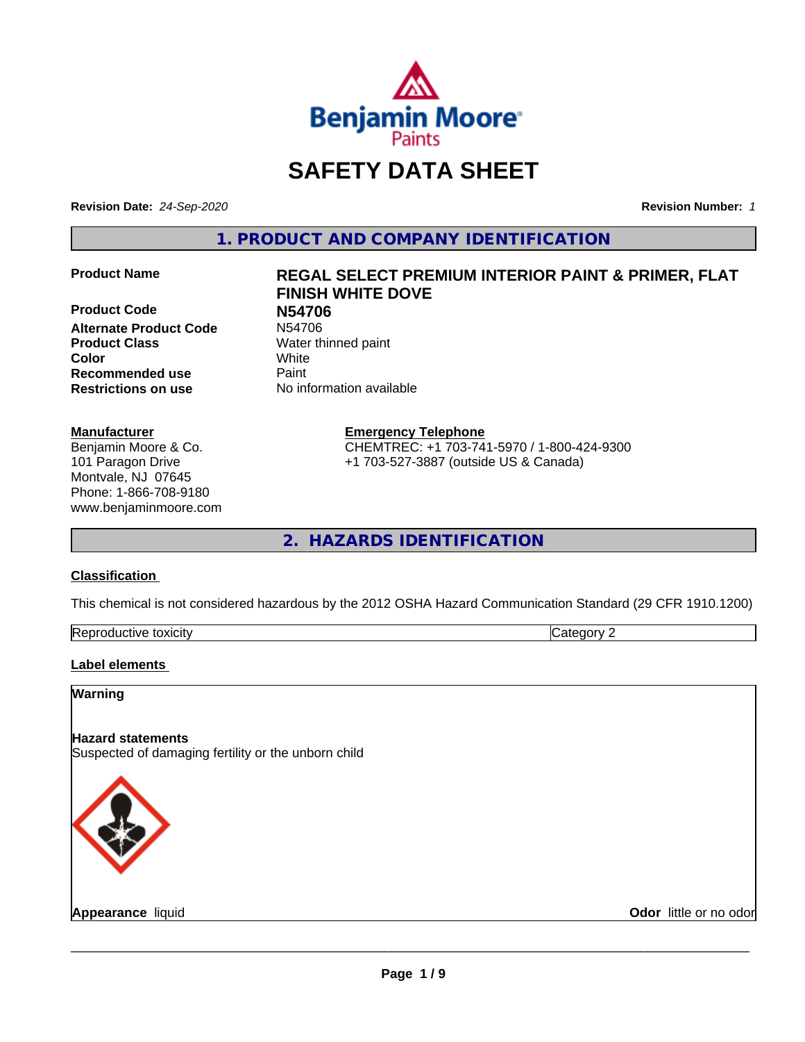

## **SAFETY DATA SHEET**

**Revision Date:** *24-Sep-2020* **Revision Number:** *1*

**1. PRODUCT AND COMPANY IDENTIFICATION**

**Product Code 199706<br>
Alternate Product Code 199706 Alternate Product Code Product Class** Water thinned paint **Color** White **Recommended use Caint Restrictions on use** No information available

#### **Manufacturer**

Benjamin Moore & Co. 101 Paragon Drive Montvale, NJ 07645 Phone: 1-866-708-9180 www.benjaminmoore.com

## **Product Name REGAL SELECT PREMIUM INTERIOR PAINT & PRIMER, FLAT FINISH WHITE DOVE**

**Emergency Telephone**

CHEMTREC: +1 703-741-5970 / 1-800-424-9300 +1 703-527-3887 (outside US & Canada)

**2. HAZARDS IDENTIFICATION**

#### **Classification**

This chemical is not considered hazardous by the 2012 OSHA Hazard Communication Standard (29 CFR 1910.1200)

| toxicity<br>Repr.<br>oductive | ĸ<br>-- - --<br>.ат<br>λr<br>51 J L |
|-------------------------------|-------------------------------------|

#### **Label elements**

#### **Warning**

#### **Hazard statements**

Suspected of damaging fertility or the unborn child



**Appearance** liquid **Contract Contract Contract Contract Contract Contract Contract Contract Contract Contract Contract Contract Contract Contract Contract Contract Contract Contract Contract Contract Contract Contract Con**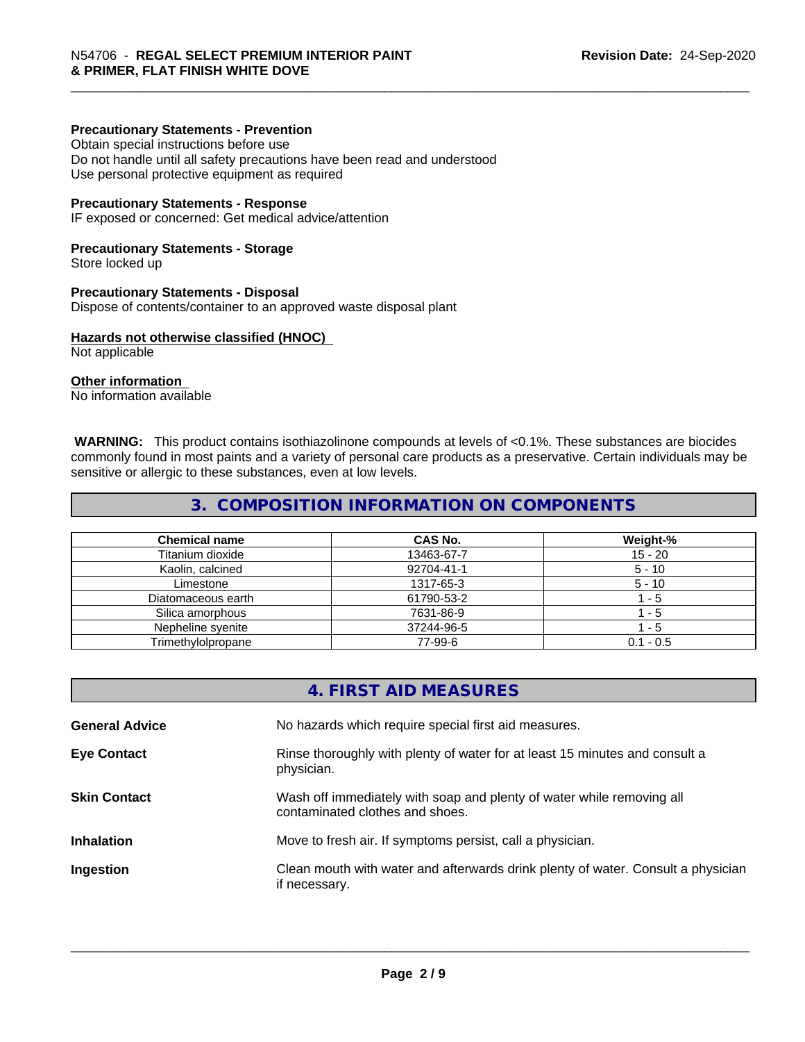#### **Precautionary Statements - Prevention**

Obtain special instructions before use Do not handle until all safety precautions have been read and understood Use personal protective equipment as required

#### **Precautionary Statements - Response**

IF exposed or concerned: Get medical advice/attention

#### **Precautionary Statements - Storage**

Store locked up

#### **Precautionary Statements - Disposal**

Dispose of contents/container to an approved waste disposal plant

#### **Hazards not otherwise classified (HNOC)**

Not applicable

#### **Other information**

No information available

 **WARNING:** This product contains isothiazolinone compounds at levels of <0.1%. These substances are biocides commonly found in most paints and a variety of personal care products as a preservative. Certain individuals may be sensitive or allergic to these substances, even at low levels.

#### **3. COMPOSITION INFORMATION ON COMPONENTS**

| <b>Chemical name</b> | CAS No.    | Weight-%    |
|----------------------|------------|-------------|
| Titanium dioxide     | 13463-67-7 | 15 - 20     |
| Kaolin, calcined     | 92704-41-1 | $5 - 10$    |
| Limestone            | 1317-65-3  | $5 - 10$    |
| Diatomaceous earth   | 61790-53-2 | - 5         |
| Silica amorphous     | 7631-86-9  | - 5         |
| Nepheline syenite    | 37244-96-5 | - 5         |
| Trimethylolpropane   | 77-99-6    | $0.1 - 0.5$ |

|                       | 4. FIRST AID MEASURES                                                                                    |
|-----------------------|----------------------------------------------------------------------------------------------------------|
| <b>General Advice</b> | No hazards which require special first aid measures.                                                     |
| <b>Eye Contact</b>    | Rinse thoroughly with plenty of water for at least 15 minutes and consult a<br>physician.                |
| <b>Skin Contact</b>   | Wash off immediately with soap and plenty of water while removing all<br>contaminated clothes and shoes. |
| <b>Inhalation</b>     | Move to fresh air. If symptoms persist, call a physician.                                                |
| Ingestion             | Clean mouth with water and afterwards drink plenty of water. Consult a physician<br>if necessary.        |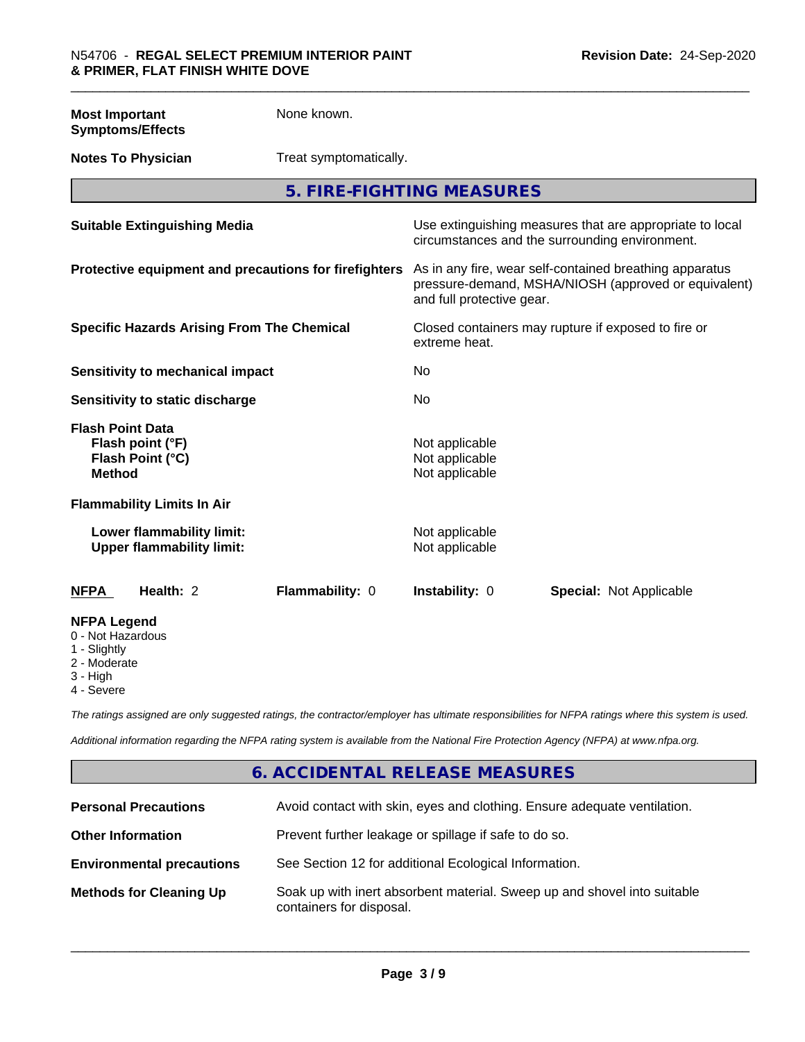**Most Important Symptoms/Effects** None known.

**Notes To Physician** Treat symptomatically.

**5. FIRE-FIGHTING MEASURES**

| <b>Suitable Extinguishing Media</b>                                              | Use extinguishing measures that are appropriate to local<br>circumstances and the surrounding environment.                                   |
|----------------------------------------------------------------------------------|----------------------------------------------------------------------------------------------------------------------------------------------|
| Protective equipment and precautions for firefighters                            | As in any fire, wear self-contained breathing apparatus<br>pressure-demand, MSHA/NIOSH (approved or equivalent)<br>and full protective gear. |
| <b>Specific Hazards Arising From The Chemical</b>                                | Closed containers may rupture if exposed to fire or<br>extreme heat.                                                                         |
| Sensitivity to mechanical impact                                                 | No                                                                                                                                           |
| Sensitivity to static discharge                                                  | No                                                                                                                                           |
| <b>Flash Point Data</b><br>Flash point (°F)<br>Flash Point (°C)<br><b>Method</b> | Not applicable<br>Not applicable<br>Not applicable                                                                                           |
| <b>Flammability Limits In Air</b>                                                |                                                                                                                                              |
| Lower flammability limit:<br><b>Upper flammability limit:</b>                    | Not applicable<br>Not applicable                                                                                                             |
| Health: 2<br>Flammability: 0<br><b>NFPA</b>                                      | <b>Instability: 0</b><br><b>Special: Not Applicable</b>                                                                                      |
| <b>NFPA Legend</b><br>0 - Not Hazardous<br>1 - Slightly                          |                                                                                                                                              |

2 - Moderate

3 - High

4 - Severe

*The ratings assigned are only suggested ratings, the contractor/employer has ultimate responsibilities for NFPA ratings where this system is used.*

*Additional information regarding the NFPA rating system is available from the National Fire Protection Agency (NFPA) at www.nfpa.org.*

#### **6. ACCIDENTAL RELEASE MEASURES**

| <b>Personal Precautions</b>      | Avoid contact with skin, eyes and clothing. Ensure adequate ventilation.                             |
|----------------------------------|------------------------------------------------------------------------------------------------------|
| <b>Other Information</b>         | Prevent further leakage or spillage if safe to do so.                                                |
| <b>Environmental precautions</b> | See Section 12 for additional Ecological Information.                                                |
| <b>Methods for Cleaning Up</b>   | Soak up with inert absorbent material. Sweep up and shovel into suitable<br>containers for disposal. |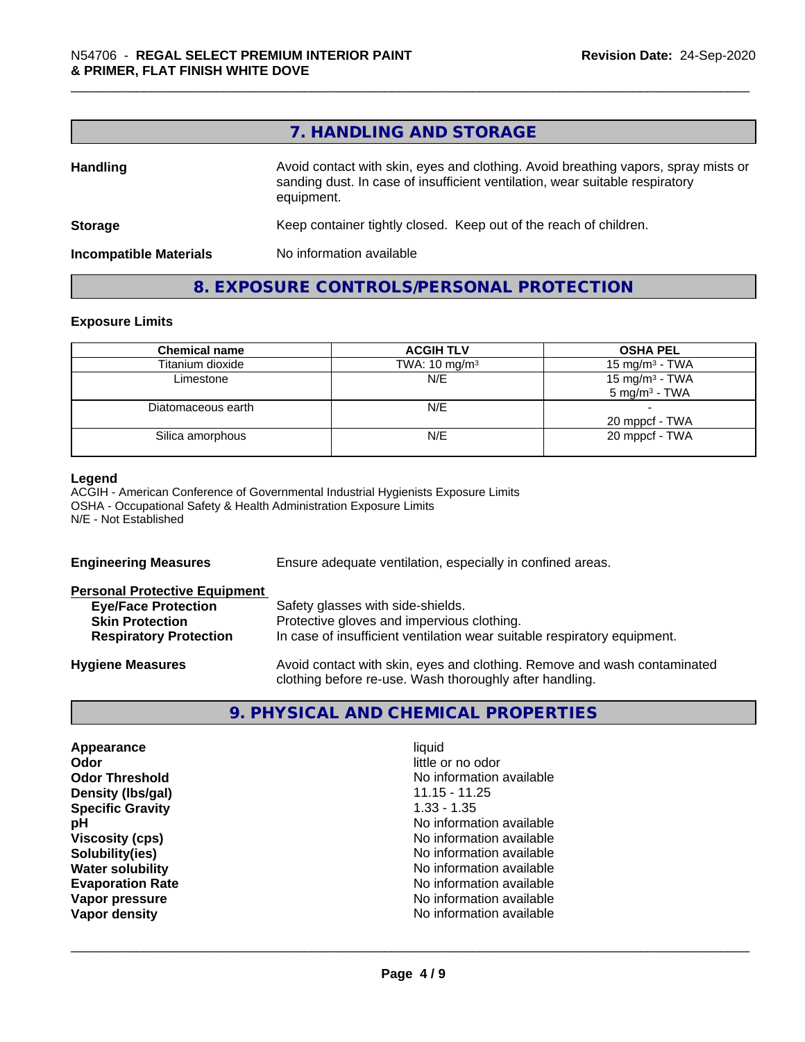|                               | 7. HANDLING AND STORAGE                                                                                                                                                          |
|-------------------------------|----------------------------------------------------------------------------------------------------------------------------------------------------------------------------------|
| <b>Handling</b>               | Avoid contact with skin, eyes and clothing. Avoid breathing vapors, spray mists or<br>sanding dust. In case of insufficient ventilation, wear suitable respiratory<br>equipment. |
| <b>Storage</b>                | Keep container tightly closed. Keep out of the reach of children.                                                                                                                |
| <b>Incompatible Materials</b> | No information available                                                                                                                                                         |

### **8. EXPOSURE CONTROLS/PERSONAL PROTECTION**

#### **Exposure Limits**

| <b>Chemical name</b> | <b>ACGIH TLV</b>         | <b>OSHA PEL</b>                               |
|----------------------|--------------------------|-----------------------------------------------|
| Titanium dioxide     | TWA: $10 \text{ mg/m}^3$ | 15 mg/m <sup>3</sup> - TWA                    |
| Limestone            | N/E                      | 15 mg/m $3$ - TWA<br>$5 \text{ mg/m}^3$ - TWA |
| Diatomaceous earth   | N/E                      | 20 mppcf - TWA                                |
| Silica amorphous     | N/E                      | 20 mppcf - TWA                                |

#### **Legend**

ACGIH - American Conference of Governmental Industrial Hygienists Exposure Limits OSHA - Occupational Safety & Health Administration Exposure Limits N/E - Not Established

| <b>Engineering Measures</b>          | Ensure adequate ventilation, especially in confined areas.                                                                          |  |
|--------------------------------------|-------------------------------------------------------------------------------------------------------------------------------------|--|
| <b>Personal Protective Equipment</b> |                                                                                                                                     |  |
| <b>Eye/Face Protection</b>           | Safety glasses with side-shields.                                                                                                   |  |
| <b>Skin Protection</b>               | Protective gloves and impervious clothing.                                                                                          |  |
| <b>Respiratory Protection</b>        | In case of insufficient ventilation wear suitable respiratory equipment.                                                            |  |
| <b>Hygiene Measures</b>              | Avoid contact with skin, eyes and clothing. Remove and wash contaminated<br>clothing before re-use. Wash thoroughly after handling. |  |

### **9. PHYSICAL AND CHEMICAL PROPERTIES**

| Appearance              | liquid                   |
|-------------------------|--------------------------|
| Odor                    | little or no odor        |
| <b>Odor Threshold</b>   | No information available |
| Density (Ibs/gal)       | $11.15 - 11.25$          |
| <b>Specific Gravity</b> | $1.33 - 1.35$            |
| рH                      | No information available |
| <b>Viscosity (cps)</b>  | No information available |
| Solubility(ies)         | No information available |
| <b>Water solubility</b> | No information available |
| <b>Evaporation Rate</b> | No information available |
| Vapor pressure          | No information available |
| Vapor density           | No information available |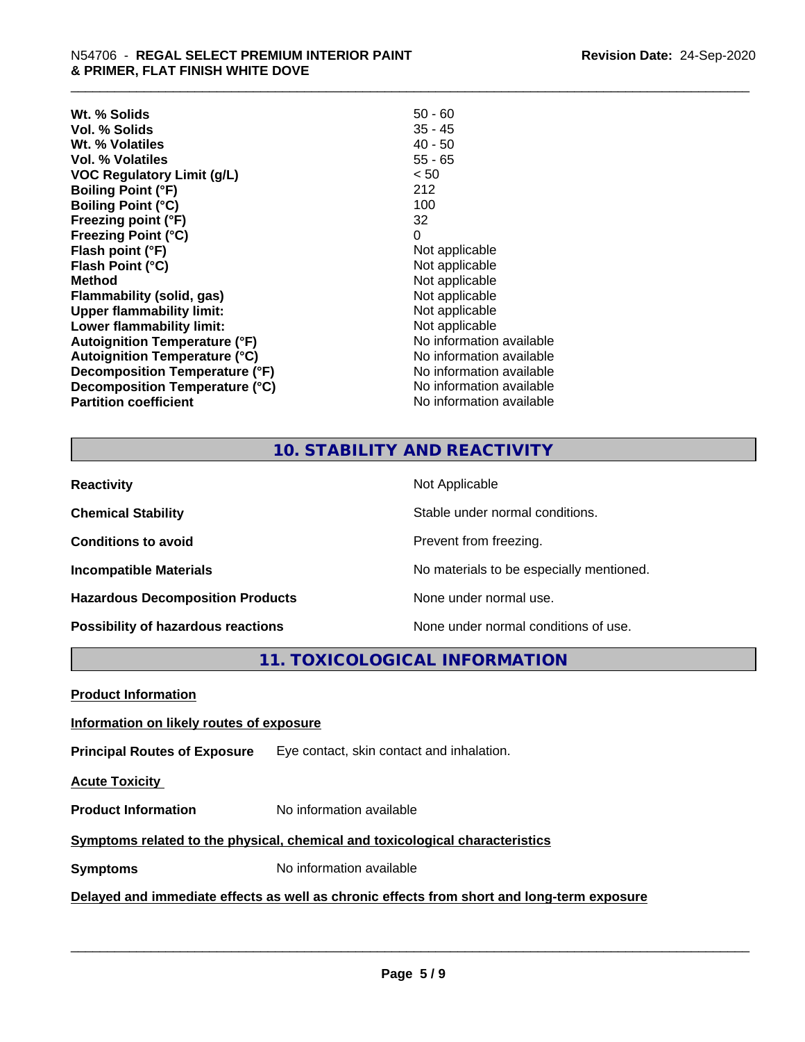| Wt. % Solids                         | $50 - 60$                |
|--------------------------------------|--------------------------|
| Vol. % Solids                        | $35 - 45$                |
| Wt. % Volatiles                      | $40 - 50$                |
| Vol. % Volatiles                     | $55 - 65$                |
| <b>VOC Regulatory Limit (g/L)</b>    | < 50                     |
| <b>Boiling Point (°F)</b>            | 212                      |
| <b>Boiling Point (°C)</b>            | 100                      |
| Freezing point (°F)                  | 32                       |
| <b>Freezing Point (°C)</b>           | 0                        |
| Flash point (°F)                     | Not applicable           |
| Flash Point (°C)                     | Not applicable           |
| <b>Method</b>                        | Not applicable           |
| Flammability (solid, gas)            | Not applicable           |
| <b>Upper flammability limit:</b>     | Not applicable           |
| Lower flammability limit:            | Not applicable           |
| <b>Autoignition Temperature (°F)</b> | No information available |
| <b>Autoignition Temperature (°C)</b> | No information available |
| Decomposition Temperature (°F)       | No information available |
| Decomposition Temperature (°C)       | No information available |
| <b>Partition coefficient</b>         | No information available |

#### **10. STABILITY AND REACTIVITY**

| <b>Reactivity</b>                       | Not Applicable                           |
|-----------------------------------------|------------------------------------------|
| <b>Chemical Stability</b>               | Stable under normal conditions.          |
| <b>Conditions to avoid</b>              | Prevent from freezing.                   |
| <b>Incompatible Materials</b>           | No materials to be especially mentioned. |
| <b>Hazardous Decomposition Products</b> | None under normal use.                   |
| Possibility of hazardous reactions      | None under normal conditions of use.     |

**11. TOXICOLOGICAL INFORMATION**

**Product Information**

#### **Information on likely routes of exposure**

**Principal Routes of Exposure** Eye contact, skin contact and inhalation.

**Acute Toxicity** 

**Product Information** No information available

#### **Symptoms** related to the physical, chemical and toxicological characteristics

**Symptoms** No information available

#### **Delayed and immediate effects as well as chronic effects from short and long-term exposure**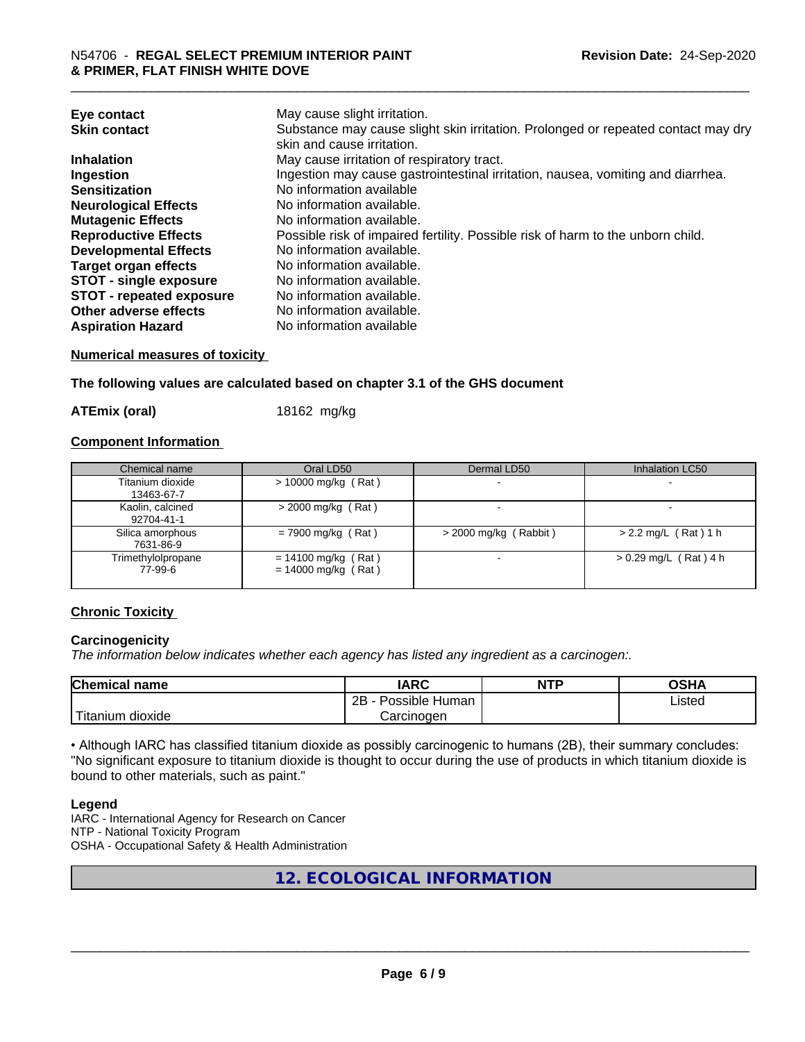| Eye contact<br><b>Skin contact</b> | May cause slight irritation.<br>Substance may cause slight skin irritation. Prolonged or repeated contact may dry<br>skin and cause irritation. |
|------------------------------------|-------------------------------------------------------------------------------------------------------------------------------------------------|
| <b>Inhalation</b>                  | May cause irritation of respiratory tract.                                                                                                      |
| Ingestion                          | Ingestion may cause gastrointestinal irritation, nausea, vomiting and diarrhea.                                                                 |
| <b>Sensitization</b>               | No information available                                                                                                                        |
| <b>Neurological Effects</b>        | No information available.                                                                                                                       |
| <b>Mutagenic Effects</b>           | No information available.                                                                                                                       |
| <b>Reproductive Effects</b>        | Possible risk of impaired fertility. Possible risk of harm to the unborn child.                                                                 |
| <b>Developmental Effects</b>       | No information available.                                                                                                                       |
| <b>Target organ effects</b>        | No information available.                                                                                                                       |
| <b>STOT - single exposure</b>      | No information available.                                                                                                                       |
| <b>STOT - repeated exposure</b>    | No information available.                                                                                                                       |
| Other adverse effects              | No information available.                                                                                                                       |
| <b>Aspiration Hazard</b>           | No information available                                                                                                                        |

#### **Numerical measures of toxicity**

**The following values are calculated based on chapter 3.1 of the GHS document**

**ATEmix (oral)** 18162 mg/kg

#### **Component Information**

| Chemical name                  | Oral LD50                                      | Dermal LD50             | Inhalation LC50         |
|--------------------------------|------------------------------------------------|-------------------------|-------------------------|
| Titanium dioxide<br>13463-67-7 | $> 10000$ mg/kg (Rat)                          |                         |                         |
| Kaolin, calcined<br>92704-41-1 | $>$ 2000 mg/kg (Rat)                           |                         |                         |
| Silica amorphous<br>7631-86-9  | $= 7900$ mg/kg (Rat)                           | $>$ 2000 mg/kg (Rabbit) | $> 2.2$ mg/L (Rat) 1 h  |
| Trimethylolpropane<br>77-99-6  | $= 14100$ mg/kg (Rat)<br>$= 14000$ mg/kg (Rat) |                         | $> 0.29$ mg/L (Rat) 4 h |

#### **Chronic Toxicity**

#### **Carcinogenicity**

*The information below indicateswhether each agency has listed any ingredient as a carcinogen:.*

| <b>Chemical</b><br>name            | <b>IARC</b>                                | <b>NTP</b> | ດເ⊔າ<br>∪אח |
|------------------------------------|--------------------------------------------|------------|-------------|
|                                    | .<br>クロ<br>Human<br>Possible<br><u>_ _</u> |            | ∟isted      |
| .<br><br>dioxide<br><b>itanium</b> | Carcinogen                                 |            |             |

• Although IARC has classified titanium dioxide as possibly carcinogenic to humans (2B), their summary concludes: "No significant exposure to titanium dioxide is thought to occur during the use of products in which titanium dioxide is bound to other materials, such as paint."

#### **Legend**

IARC - International Agency for Research on Cancer NTP - National Toxicity Program OSHA - Occupational Safety & Health Administration

**12. ECOLOGICAL INFORMATION**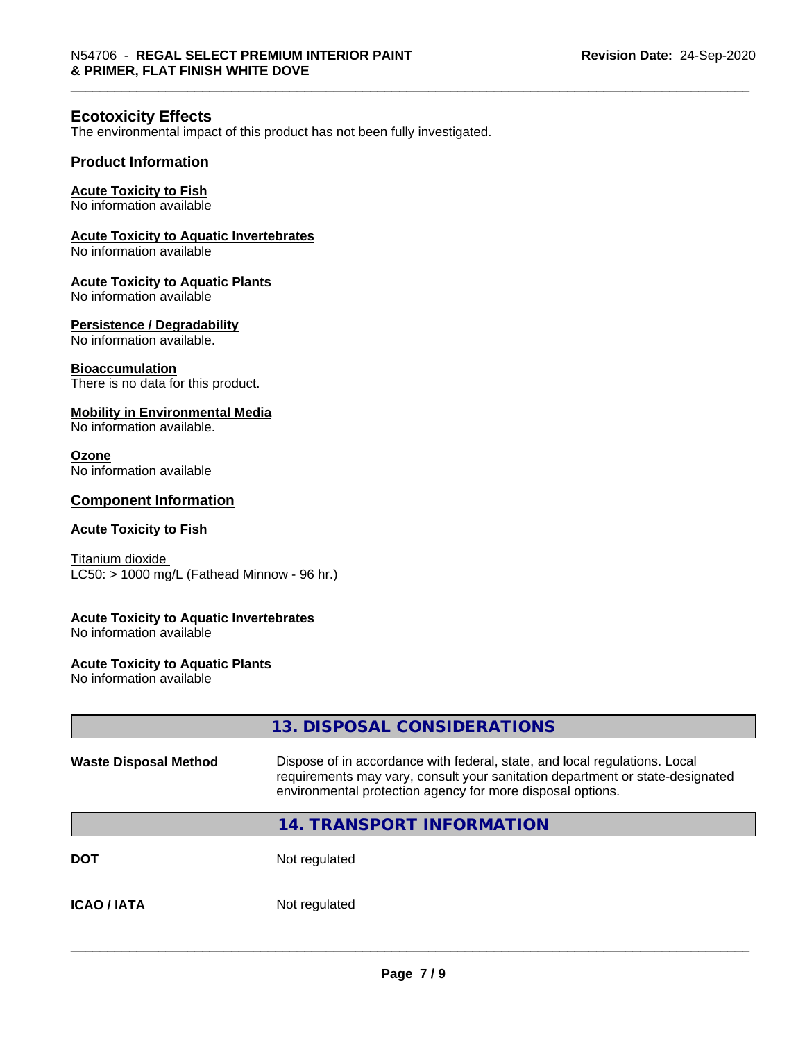#### **Ecotoxicity Effects**

The environmental impact of this product has not been fully investigated.

#### **Product Information**

#### **Acute Toxicity to Fish**

No information available

#### **Acute Toxicity to Aquatic Invertebrates**

No information available

#### **Acute Toxicity to Aquatic Plants**

No information available

#### **Persistence / Degradability**

No information available.

#### **Bioaccumulation**

There is no data for this product.

#### **Mobility in Environmental Media**

No information available.

#### **Ozone**

No information available

#### **Component Information**

#### **Acute Toxicity to Fish**

Titanium dioxide  $LC50:$  > 1000 mg/L (Fathead Minnow - 96 hr.)

#### **Acute Toxicity to Aquatic Invertebrates**

No information available

#### **Acute Toxicity to Aquatic Plants**

No information available

|                              | 13. DISPOSAL CONSIDERATIONS                                                                                                                                                                                               |  |
|------------------------------|---------------------------------------------------------------------------------------------------------------------------------------------------------------------------------------------------------------------------|--|
| <b>Waste Disposal Method</b> | Dispose of in accordance with federal, state, and local regulations. Local<br>requirements may vary, consult your sanitation department or state-designated<br>environmental protection agency for more disposal options. |  |
|                              | <b>14. TRANSPORT INFORMATION</b>                                                                                                                                                                                          |  |
| <b>DOT</b>                   | Not regulated                                                                                                                                                                                                             |  |
| <b>ICAO/IATA</b>             | Not regulated                                                                                                                                                                                                             |  |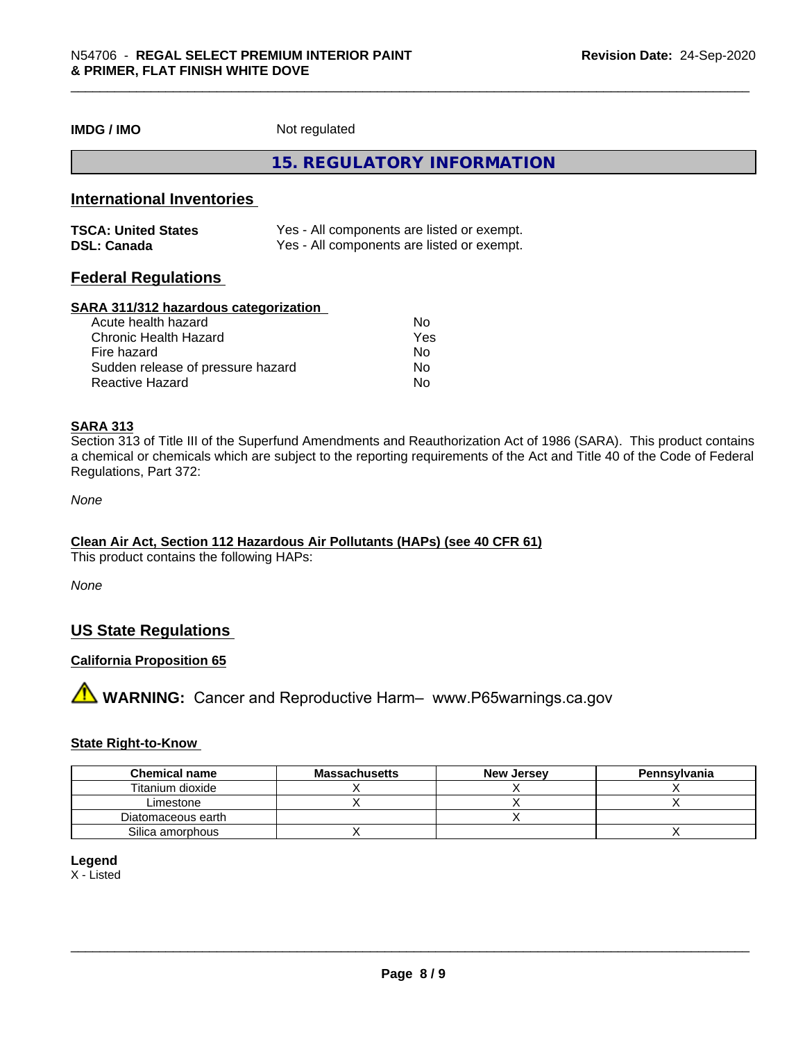**IMDG / IMO** Not regulated

**15. REGULATORY INFORMATION**

#### **International Inventories**

| <b>TSCA: United States</b> | Yes - All components are listed or exempt. |
|----------------------------|--------------------------------------------|
| <b>DSL: Canada</b>         | Yes - All components are listed or exempt. |

#### **Federal Regulations**

#### **SARA 311/312 hazardous categorization**

| Acute health hazard               | No  |  |
|-----------------------------------|-----|--|
| Chronic Health Hazard             | Yes |  |
| Fire hazard                       | No  |  |
| Sudden release of pressure hazard | Nο  |  |
| Reactive Hazard                   | Nο  |  |

#### **SARA 313**

Section 313 of Title III of the Superfund Amendments and Reauthorization Act of 1986 (SARA). This product contains a chemical or chemicals which are subject to the reporting requirements of the Act and Title 40 of the Code of Federal Regulations, Part 372:

*None*

#### **Clean Air Act,Section 112 Hazardous Air Pollutants (HAPs) (see 40 CFR 61)**

This product contains the following HAPs:

*None*

#### **US State Regulations**

#### **California Proposition 65**

**A** WARNING: Cancer and Reproductive Harm– www.P65warnings.ca.gov

#### **State Right-to-Know**

| <b>Chemical name</b> | <b>Massachusetts</b> | <b>New Jersey</b> | Pennsylvania |
|----------------------|----------------------|-------------------|--------------|
| Titanium dioxide     |                      |                   |              |
| Limestone            |                      |                   |              |
| Diatomaceous earth   |                      |                   |              |
| Silica amorphous     |                      |                   |              |

#### **Legend**

X - Listed